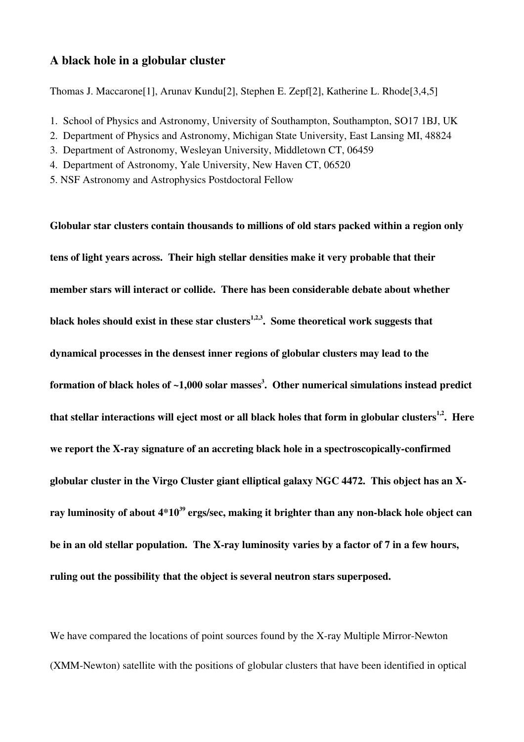# A black hole in a globular cluster

Thomas J. Maccarone[1], Arunav Kundu[2], Stephen E. Zepf[2], Katherine L. Rhode[3,4,5]

- 1. School of Physics and Astronomy, University of Southampton, Southampton, SO17 1BJ, UK
- 2. Department of Physics and Astronomy, Michigan State University, East Lansing MI, 48824
- 3. Department of Astronomy, Wesleyan University, Middletown CT, 06459
- 4. Department of Astronomy, Yale University, New Haven CT, 06520
- 5. NSF Astronomy and Astrophysics Postdoctoral Fellow

Globular star clusters contain thousands to millions of old stars packed within a region only tens of light years across. Their high stellar densities make it very probable that their member stars will interact or collide. There has been considerable debate about whether black holes should exist in these star clusters $^{1,2,3}$ . Some theoretical work suggests that dynamical processes in the densest inner regions of globular clusters may lead to the formation of black holes of ~1,000 solar masses $^3\!\!$  . Other numerical simulations instead predict that stellar interactions will eject most or all black holes that form in globular clusters<sup>1,2</sup>. Here we report the X-ray signature of an accreting black hole in a spectroscopically-confirmed globular cluster in the Virgo Cluster giant elliptical galaxy NGC 4472. This object has an Xray luminosity of about 4\*10 $^{\rm 39}$  ergs/sec, making it brighter than any non-black hole object can be in an old stellar population. The X-ray luminosity varies by a factor of 7 in a few hours, ruling out the possibility that the object is several neutron stars superposed.

We have compared the locations of point sources found by the X-ray Multiple Mirror-Newton (XMM-Newton) satellite with the positions of globular clusters that have been identified in optical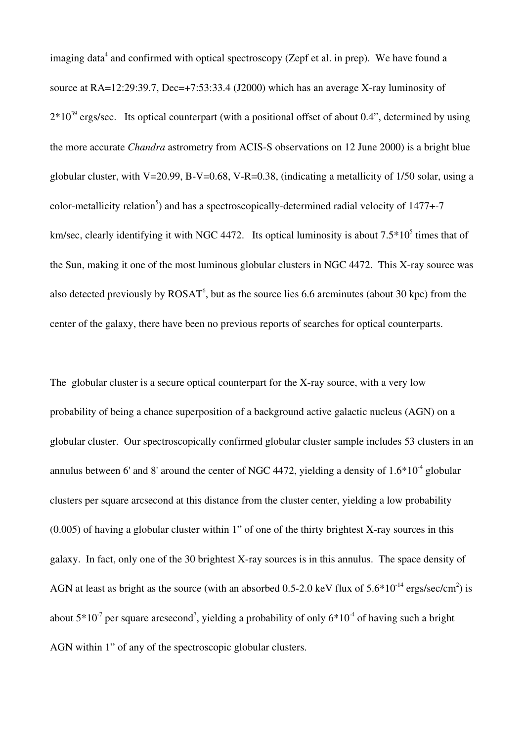imaging data<sup>4</sup> and confirmed with optical spectroscopy (Zepf et al. in prep). We have found a source at RA=12:29:39.7, Dec=+7:53:33.4 (J2000) which has an average X-ray luminosity of  $2*10^{39}$  ergs/sec. Its optical counterpart (with a positional offset of about 0.4", determined by using the more accurate *Chandra* astrometry from ACIS-S observations on 12 June 2000) is a bright blue globular cluster, with V=20.99, B-V=0.68, V-R=0.38, (indicating a metallicity of  $1/50$  solar, using a color-metallicity relation<sup>5</sup>) and has a spectroscopically-determined radial velocity of 1477+-7 km/sec, clearly identifying it with NGC 4472. Its optical luminosity is about  $7.5*10<sup>5</sup>$  times that of the Sun, making it one of the most luminous globular clusters in NGC 4472. This X-ray source was also detected previously by  $ROSAT^6$ , but as the source lies 6.6 arcminutes (about 30 kpc) from the center of the galaxy, there have been no previous reports of searches for optical counterparts.

The globular cluster is a secure optical counterpart for the X-ray source, with a very low probability of being a chance superposition of a background active galactic nucleus (AGN) on a globular cluster. Our spectroscopically confirmed globular cluster sample includes 53 clusters in an annulus between 6' and 8' around the center of NGC 4472, yielding a density of  $1.6*10<sup>-4</sup>$  globular clusters per square arcsecond at this distance from the cluster center, yielding a low probability  $(0.005)$  of having a globular cluster within 1" of one of the thirty brightest X-ray sources in this galaxy. In fact, only one of the 30 brightest X-ray sources is in this annulus. The space density of AGN at least as bright as the source (with an absorbed 0.5-2.0 keV flux of  $5.6*10^{-14}$  ergs/sec/cm<sup>2</sup>) is about  $5*10<sup>-7</sup>$  per square arcsecond<sup>7</sup>, yielding a probability of only  $6*10<sup>-4</sup>$  of having such a bright AGN within 1" of any of the spectroscopic globular clusters.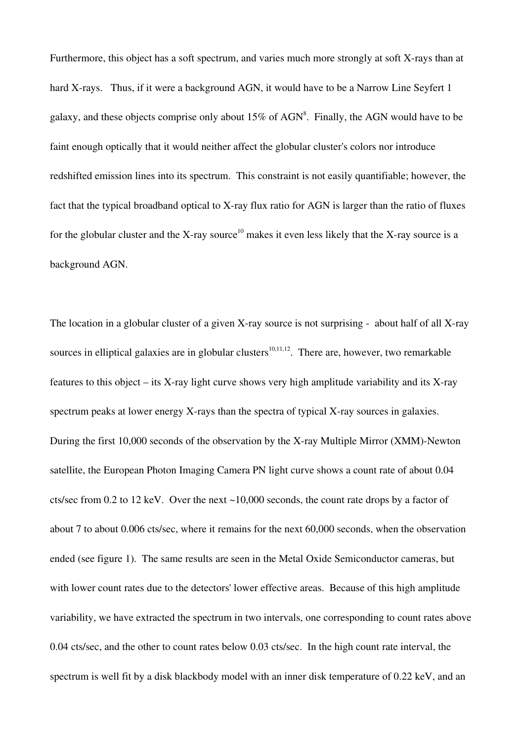Furthermore, this object has a soft spectrum, and varies much more strongly at soft X-rays than at hard X-rays. Thus, if it were a background AGN, it would have to be a Narrow Line Seyfert 1 galaxy, and these objects comprise only about  $15\%$  of AGN<sup>8</sup>. Finally, the AGN would have to be faint enough optically that it would neither affect the globular cluster's colors nor introduce redshifted emission lines into its spectrum. This constraint is not easily quantifiable; however, the fact that the typical broadband optical to X-ray flux ratio for AGN is larger than the ratio of fluxes for the globular cluster and the X-ray source<sup>10</sup> makes it even less likely that the X-ray source is a background AGN.

The location in a globular cluster of a given X-ray source is not surprising  $-$  about half of all X-ray sources in elliptical galaxies are in globular clusters<sup>10,11,12</sup>. There are, however, two remarkable features to this object – its X-ray light curve shows very high amplitude variability and its X-ray spectrum peaks at lower energy X-rays than the spectra of typical X-ray sources in galaxies. During the first  $10,000$  seconds of the observation by the X-ray Multiple Mirror (XMM)-Newton satellite, the European Photon Imaging Camera PN light curve shows a count rate of about 0.04 cts/sec from 0.2 to 12 keV. Over the next ~10,000 seconds, the count rate drops by a factor of about 7 to about 0.006 cts/sec, where it remains for the next 60,000 seconds, when the observation ended (see figure 1). The same results are seen in the Metal Oxide Semiconductor cameras, but with lower count rates due to the detectors' lower effective areas. Because of this high amplitude variability, we have extracted the spectrum in two intervals, one corresponding to count rates above 0.04 cts/sec, and the other to count rates below 0.03 cts/sec. In the high count rate interval, the spectrum is well fit by a disk blackbody model with an inner disk temperature of 0.22 keV, and an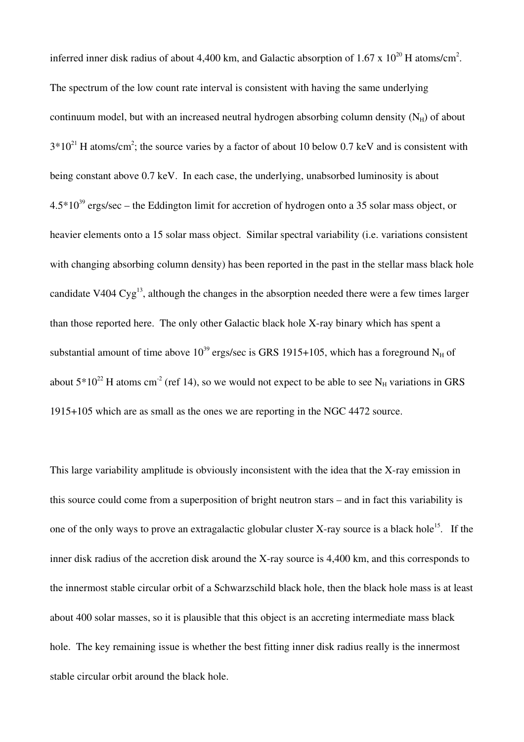inferred inner disk radius of about 4,400 km, and Galactic absorption of 1.67 x  $10^{20}$  H atoms/cm<sup>2</sup>. The spectrum of the low count rate interval is consistent with having the same underlying continuum model, but with an increased neutral hydrogen absorbing column density  $(N_H)$  of about  $3*10^{21}$  H atoms/cm<sup>2</sup>; the source varies by a factor of about 10 below 0.7 keV and is consistent with being constant above 0.7 keV. In each case, the underlying, unabsorbed luminosity is about  $4.5*10^{39}$  ergs/sec – the Eddington limit for accretion of hydrogen onto a 35 solar mass object, or heavier elements onto a 15 solar mass object. Similar spectral variability (i.e. variations consistent with changing absorbing column density) has been reported in the past in the stellar mass black hole candidate V404  $Cyg^{13}$ , although the changes in the absorption needed there were a few times larger than those reported here. The only other Galactic black hole X-ray binary which has spent a substantial amount of time above  $10^{39}$  ergs/sec is GRS 1915+105, which has a foreground N<sub>H</sub> of about  $5*10^{22}$  H atoms cm<sup>-2</sup> (ref 14), so we would not expect to be able to see N<sub>H</sub> variations in GRS 1915+105 which are as small as the ones we are reporting in the NGC 4472 source.

This large variability amplitude is obviously inconsistent with the idea that the X-ray emission in this source could come from a superposition of bright neutron stars – and in fact this variability is one of the only ways to prove an extragalactic globular cluster X-ray source is a black hole<sup>15</sup>. If the inner disk radius of the accretion disk around the X-ray source is 4,400 km, and this corresponds to the innermost stable circular orbit of a Schwarzschild black hole, then the black hole mass is at least about 400 solar masses, so it is plausible that this object is an accreting intermediate mass black hole. The key remaining issue is whether the best fitting inner disk radius really is the innermost stable circular orbit around the black hole.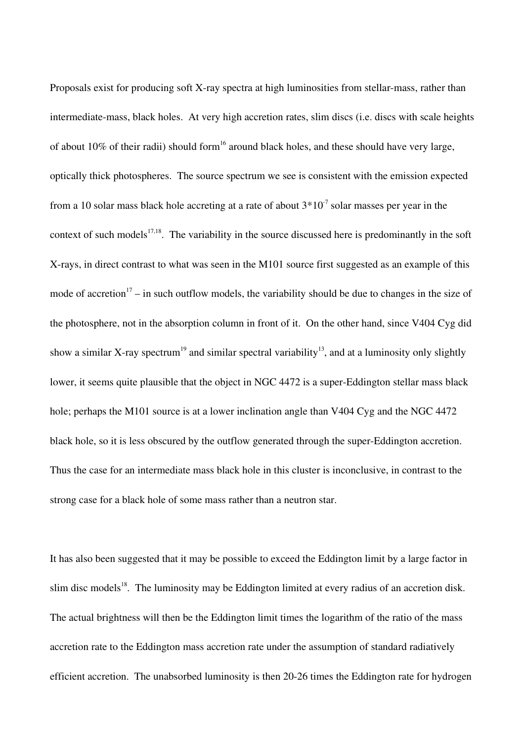Proposals exist for producing soft X-ray spectra at high luminosities from stellar-mass, rather than intermediate-mass, black holes. At very high accretion rates, slim discs (i.e. discs with scale heights of about 10% of their radii) should form<sup>16</sup> around black holes, and these should have very large, optically thick photospheres. The source spectrum we see is consistent with the emission expected from a 10 solar mass black hole accreting at a rate of about  $3*10<sup>-7</sup>$  solar masses per year in the context of such models<sup>17,18</sup>. The variability in the source discussed here is predominantly in the soft X-rays, in direct contrast to what was seen in the M101 source first suggested as an example of this mode of accretion<sup>17</sup> – in such outflow models, the variability should be due to changes in the size of the photosphere, not in the absorption column in front of it. On the other hand, since V404 Cyg did show a similar X-ray spectrum<sup>19</sup> and similar spectral variability<sup>13</sup>, and at a luminosity only slightly lower, it seems quite plausible that the object in NGC 4472 is a super-Eddington stellar mass black hole; perhaps the M101 source is at a lower inclination angle than V404 Cyg and the NGC 4472 black hole, so it is less obscured by the outflow generated through the super-Eddington accretion. Thus the case for an intermediate mass black hole in this cluster is inconclusive, in contrast to the strong case for a black hole of some mass rather than a neutron star.

It has also been suggested that it may be possible to exceed the Eddington limit by a large factor in slim disc models<sup>18</sup>. The luminosity may be Eddington limited at every radius of an accretion disk. The actual brightness will then be the Eddington limit times the logarithm of the ratio of the mass accretion rate to the Eddington mass accretion rate under the assumption of standard radiatively efficient accretion. The unabsorbed luminosity is then 20-26 times the Eddington rate for hydrogen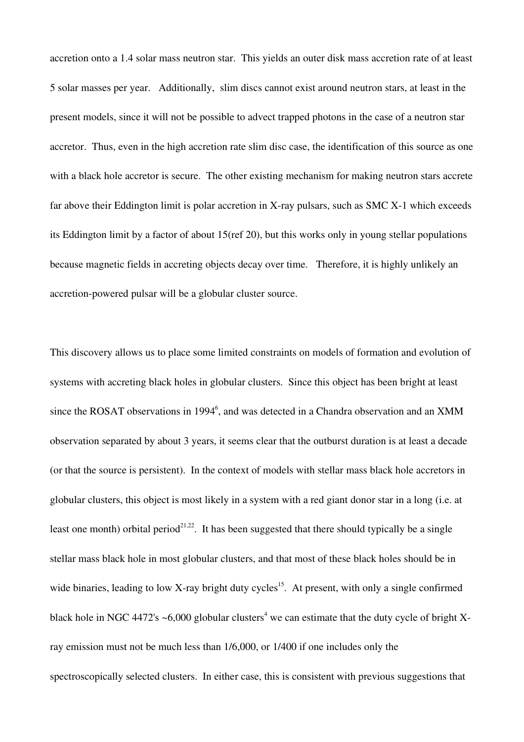accretion onto a 1.4 solar mass neutron star. This yields an outer disk mass accretion rate of at least 5 solar masses per year. Additionally, slim discs cannot exist around neutron stars, at least in the present models, since it will not be possible to advect trapped photons in the case of a neutron star accretor. Thus, even in the high accretion rate slim disc case, the identification of this source as one with a black hole accretor is secure. The other existing mechanism for making neutron stars accrete far above their Eddington limit is polar accretion in X-ray pulsars, such as SMC  $X-1$  which exceeds its Eddington limit by a factor of about 15(ref 20), but this works only in young stellar populations because magnetic fields in accreting objects decay over time. Therefore, it is highly unlikely an accretion-powered pulsar will be a globular cluster source.

This discovery allows us to place some limited constraints on models of formation and evolution of systems with accreting black holes in globular clusters. Since this object has been bright at least since the ROSAT observations in 1994<sup>6</sup>, and was detected in a Chandra observation and an XMM observation separated by about 3 years, it seems clear that the outburst duration is at least a decade (or that the source is persistent). In the context of models with stellar mass black hole accretors in globular clusters, this object is most likely in a system with a red giant donor star in a long (i.e. at least one month) orbital period<sup>21,22</sup>. It has been suggested that there should typically be a single stellar mass black hole in most globular clusters, and that most of these black holes should be in wide binaries, leading to low X-ray bright duty cycles<sup>15</sup>. At present, with only a single confirmed black hole in NGC 4472's  $\sim$ 6,000 globular clusters<sup>4</sup> we can estimate that the duty cycle of bright Xray emission must not be much less than 1/6,000, or 1/400 if one includes only the spectroscopically selected clusters. In either case, this is consistent with previous suggestions that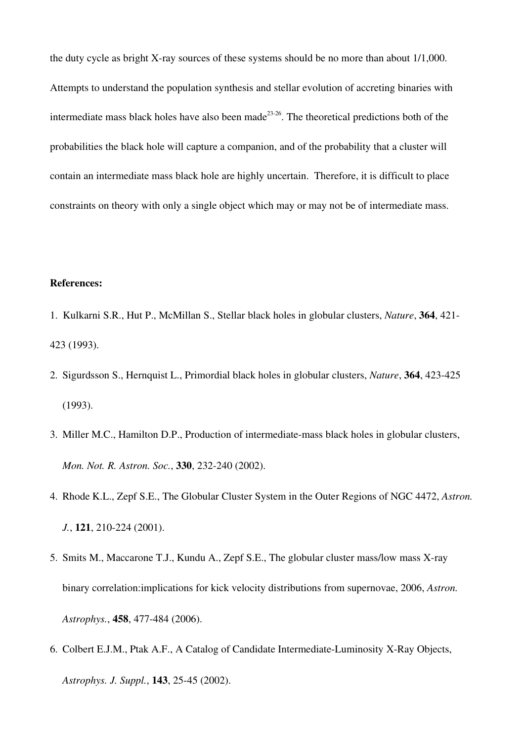the duty cycle as bright X-ray sources of these systems should be no more than about  $1/1,000$ . Attempts to understand the population synthesis and stellar evolution of accreting binaries with intermediate mass black holes have also been made<sup>23-26</sup>. The theoretical predictions both of the probabilities the black hole will capture a companion, and of the probability that a cluster will contain an intermediate mass black hole are highly uncertain. Therefore, it is difficult to place constraints on theory with only a single object which may or may not be of intermediate mass.

#### References:

- 1. Kulkarni S.R., Hut P., McMillan S., Stellar black holes in globular clusters, *Nature*, 364, 421 423 (1993).
- 2. Sigurdsson S., Hernquist L., Primordial black holes in globular clusters, *Nature*, 364, 423-425 (1993).
- 3. Miller M.C., Hamilton D.P., Production of intermediate-mass black holes in globular clusters, *Mon. Not. R. Astron. Soc.*, 330, 232-240 (2002).
- 4. Rhode K.L., Zepf S.E., The Globular Cluster System in the Outer Regions of NGC 4472, *Astron. J.*, **121**, 210-224 (2001).
- 5. Smits M., Maccarone T.J., Kundu A., Zepf S.E., The globular cluster mass/low mass X-ray binary correlation:implications for kick velocity distributions from supernovae, 2006, *Astron. Astrophys.*, 458, 477-484 (2006).
- 6. Colbert E.J.M., Ptak A.F., A Catalog of Candidate Intermediate-Luminosity X-Ray Objects, *Astrophys. J. Suppl.*, **143**, 25-45 (2002).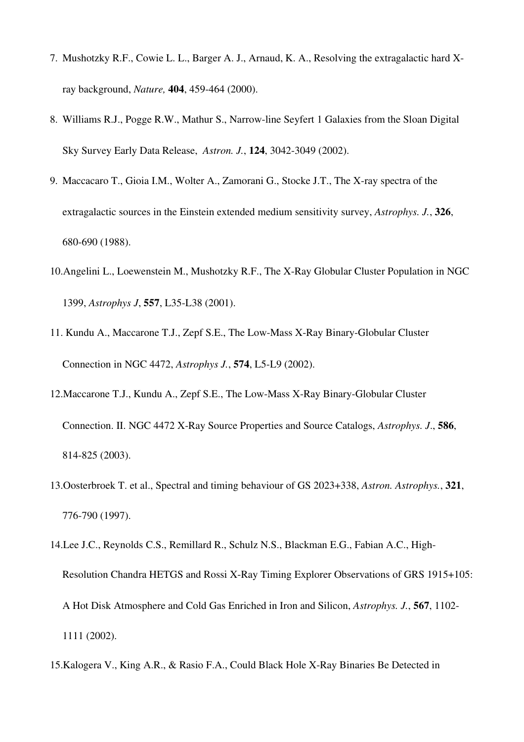- 7. Mushotzky R.F., Cowie L. L., Barger A. J., Arnaud, K. A., Resolving the extragalactic hard Xray background, *Nature*, **404**, 459-464 (2000).
- 8. Williams R.J., Pogge R.W., Mathur S., Narrow-line Seyfert 1 Galaxies from the Sloan Digital Sky Survey Early Data Release, *Astron. J.*, **124**, 3042-3049 (2002).
- 9. Maccacaro T., Gioia I.M., Wolter A., Zamorani G., Stocke J.T., The X-ray spectra of the extragalactic sources in the Einstein extended medium sensitivity survey, *Astrophys. J.*, 326, 680690 (1988).
- 10.Angelini L., Loewenstein M., Mushotzky R.F., The X-Ray Globular Cluster Population in NGC 1399, *Astrophys J*, 557, L35L38 (2001).
- 11. Kundu A., Maccarone T.J., Zepf S.E., The Low-Mass X-Ray Binary-Globular Cluster Connection in NGC 4472, *Astrophys J.*, **574**, L5-L9 (2002).
- 12. Maccarone T.J., Kundu A., Zepf S.E., The Low-Mass X-Ray Binary-Globular Cluster Connection. II. NGC 4472 X-Ray Source Properties and Source Catalogs, *Astrophys. J.*, 586, 814825 (2003).
- 13.Oosterbroek T. et al., Spectral and timing behaviour of GS 2023+338, *Astron. Astrophys.*, 321, 776790 (1997).
- 14.Lee J.C., Reynolds C.S., Remillard R., Schulz N.S., Blackman E.G., Fabian A.C., High-Resolution Chandra HETGS and Rossi X-Ray Timing Explorer Observations of GRS 1915+105: A Hot Disk Atmosphere and Cold Gas Enriched in Iron and Silicon, *Astrophys. J.*, 567, 1102 1111 (2002).
- 15.Kalogera V., King A.R., & Rasio F.A., Could Black Hole X-Ray Binaries Be Detected in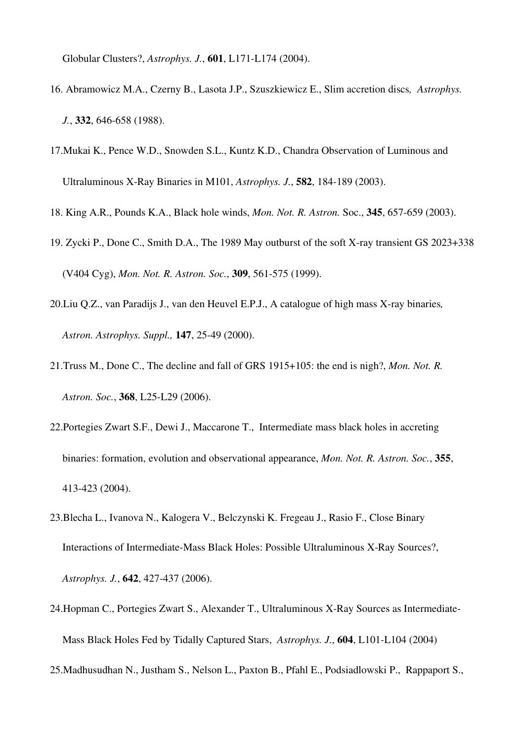Globular Clusters?, *Astrophys. J.*, 601, L171-L174 (2004).

- 16. Abramowicz M.A., Czerny B., Lasota J.P., Szuszkiewicz E., Slim accretion discs*, Astrophys. J.*, 332, 646-658 (1988).
- 17.Mukai K., Pence W.D., Snowden S.L., Kuntz K.D., Chandra Observation of Luminous and Ultraluminous X-Ray Binaries in M101, *Astrophys. J.*, **582**, 184-189 (2003).
- 18. King A.R., Pounds K.A., Black hole winds, *Mon. Not. R. Astron.* Soc., 345, 657-659 (2003).
- 19. Zycki P., Done C., Smith D.A., The 1989 May outburst of the soft X-ray transient GS 2023+338 (V404 Cyg), *Mon. Not. R. Astron. Soc.*, 309, 561-575 (1999).
- 20.Liu Q.Z., van Paradijs J., van den Heuvel E.P.J., A catalogue of high mass X-ray binaries, *Astron. Astrophys. Suppl.,* **147**, 25-49 (2000).
- 21.Truss M., Done C., The decline and fall of GRS 1915+105: the end is nigh?, *Mon. Not. R.* Astron. Soc., 368, L25-L29 (2006).
- 22.Portegies Zwart S.F., Dewi J., Maccarone T., Intermediate mass black holes in accreting binaries: formation, evolution and observational appearance, *Mon. Not. R. Astron. Soc.*, 355, 413423 (2004).
- 23.Blecha L., Ivanova N., Kalogera V., Belczynski K. Fregeau J., Rasio F., Close Binary Interactions of Intermediate-Mass Black Holes: Possible Ultraluminous X-Ray Sources?, *Astrophys. J.*, **642**, 427-437 (2006).
- 24. Hopman C., Portegies Zwart S., Alexander T., Ultraluminous X-Ray Sources as Intermediate-Mass Black Holes Fed by Tidally Captured Stars, Astrophys. J., 604, L101-L104 (2004)
- 25.Madhusudhan N., Justham S., Nelson L., Paxton B., Pfahl E., Podsiadlowski P., Rappaport S.,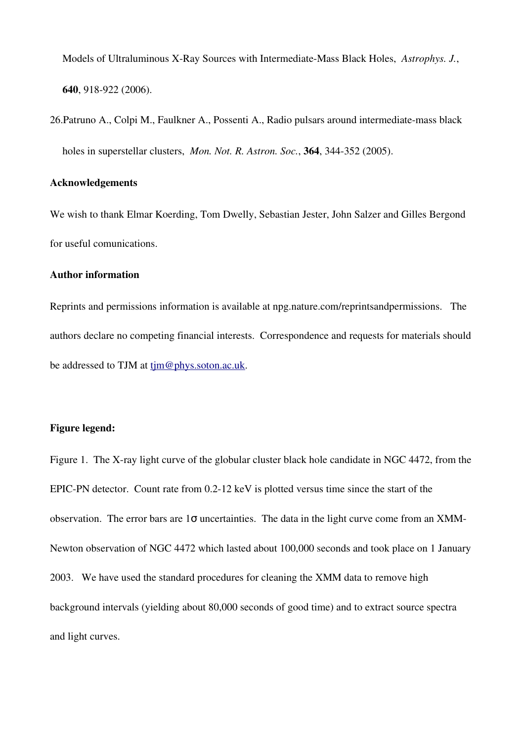Models of Ultraluminous X-Ray Sources with Intermediate-Mass Black Holes, Astrophys. J., 640, 918-922 (2006).

26. Patruno A., Colpi M., Faulkner A., Possenti A., Radio pulsars around intermediate-mass black holes in superstellar clusters, *Mon. Not. R. Astron. Soc.*, 364, 344-352 (2005).

## Acknowledgements

We wish to thank Elmar Koerding, Tom Dwelly, Sebastian Jester, John Salzer and Gilles Bergond for useful comunications.

#### Author information

Reprints and permissions information is available at npg.nature.com/reprintsandpermissions. The authors declare no competing financial interests. Correspondence and requests for materials should be addressed to TJM at tjm@phys.soton.ac.uk.

## Figure legend:

Figure 1. The X-ray light curve of the globular cluster black hole candidate in NGC 4472, from the EPIC-PN detector. Count rate from  $0.2$ -12 keV is plotted versus time since the start of the observation. The error bars are  $1\sigma$  uncertainties. The data in the light curve come from an XMM-Newton observation of NGC 4472 which lasted about 100,000 seconds and took place on 1 January 2003. We have used the standard procedures for cleaning the XMM data to remove high background intervals (yielding about 80,000 seconds of good time) and to extract source spectra and light curves.